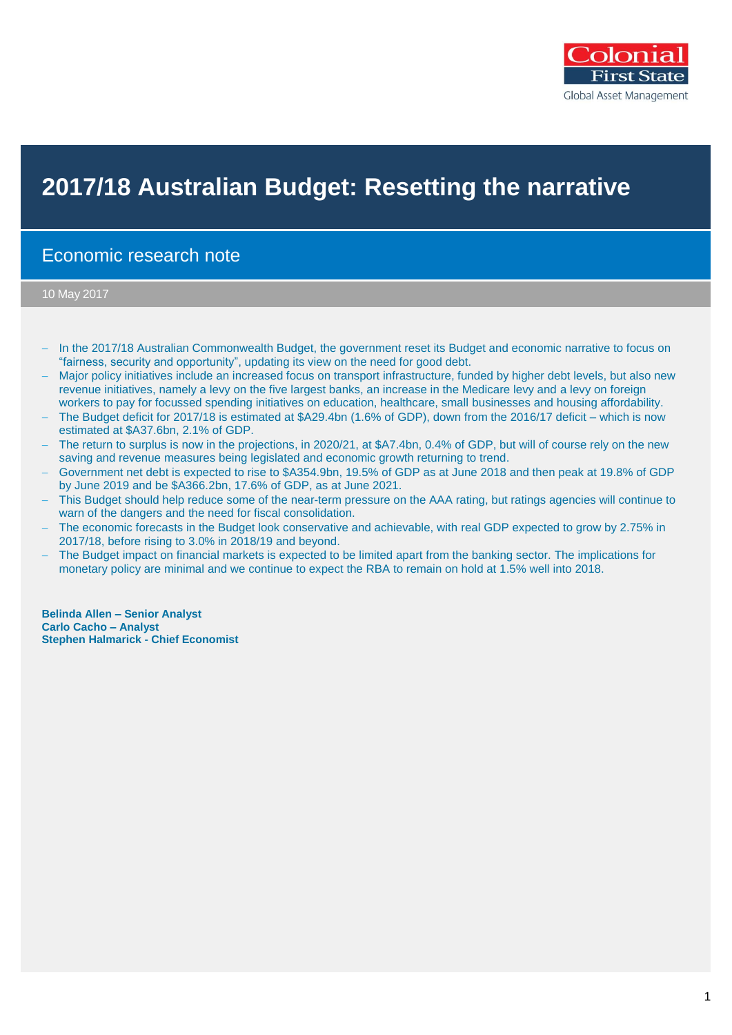

# **2017/18 Australian Budget: Resetting the narrative**

## Economic research note

10 May 2017

- In the 2017/18 Australian Commonwealth Budget, the government reset its Budget and economic narrative to focus on "fairness, security and opportunity", updating its view on the need for good debt.
- Major policy initiatives include an increased focus on transport infrastructure, funded by higher debt levels, but also new revenue initiatives, namely a levy on the five largest banks, an increase in the Medicare levy and a levy on foreign workers to pay for focussed spending initiatives on education, healthcare, small businesses and housing affordability.
- The Budget deficit for 2017/18 is estimated at \$A29.4bn (1.6% of GDP), down from the 2016/17 deficit which is now estimated at \$A37.6bn, 2.1% of GDP.
- The return to surplus is now in the projections, in 2020/21, at \$A7.4bn, 0.4% of GDP, but will of course rely on the new saving and revenue measures being legislated and economic growth returning to trend.
- Government net debt is expected to rise to \$A354.9bn, 19.5% of GDP as at June 2018 and then peak at 19.8% of GDP by June 2019 and be \$A366.2bn, 17.6% of GDP, as at June 2021.
- This Budget should help reduce some of the near-term pressure on the AAA rating, but ratings agencies will continue to warn of the dangers and the need for fiscal consolidation.
- The economic forecasts in the Budget look conservative and achievable, with real GDP expected to grow by 2.75% in 2017/18, before rising to 3.0% in 2018/19 and beyond.
- The Budget impact on financial markets is expected to be limited apart from the banking sector. The implications for monetary policy are minimal and we continue to expect the RBA to remain on hold at 1.5% well into 2018.

**Belinda Allen – Senior Analyst Carlo Cacho – Analyst Stephen Halmarick - Chief Economist**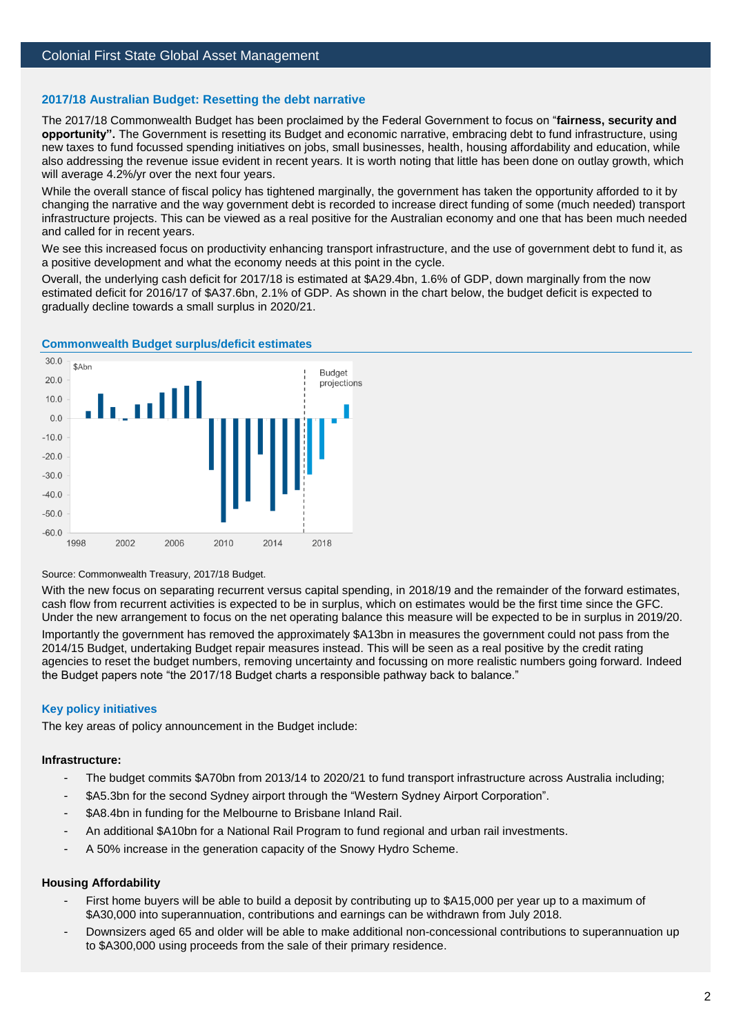#### **2017/18 Australian Budget: Resetting the debt narrative**

The 2017/18 Commonwealth Budget has been proclaimed by the Federal Government to focus on "**fairness, security and opportunity".** The Government is resetting its Budget and economic narrative, embracing debt to fund infrastructure, using new taxes to fund focussed spending initiatives on jobs, small businesses, health, housing affordability and education, while also addressing the revenue issue evident in recent years. It is worth noting that little has been done on outlay growth, which will average 4.2%/yr over the next four years.

While the overall stance of fiscal policy has tightened marginally, the government has taken the opportunity afforded to it by changing the narrative and the way government debt is recorded to increase direct funding of some (much needed) transport infrastructure projects. This can be viewed as a real positive for the Australian economy and one that has been much needed and called for in recent years.

We see this increased focus on productivity enhancing transport infrastructure, and the use of government debt to fund it, as a positive development and what the economy needs at this point in the cycle.

Overall, the underlying cash deficit for 2017/18 is estimated at \$A29.4bn, 1.6% of GDP, down marginally from the now estimated deficit for 2016/17 of \$A37.6bn, 2.1% of GDP. As shown in the chart below, the budget deficit is expected to gradually decline towards a small surplus in 2020/21.



#### **Commonwealth Budget surplus/deficit estimates**

#### Source: Commonwealth Treasury, 2017/18 Budget.

With the new focus on separating recurrent versus capital spending, in 2018/19 and the remainder of the forward estimates, cash flow from recurrent activities is expected to be in surplus, which on estimates would be the first time since the GFC. Under the new arrangement to focus on the net operating balance this measure will be expected to be in surplus in 2019/20.

Importantly the government has removed the approximately \$A13bn in measures the government could not pass from the 2014/15 Budget, undertaking Budget repair measures instead. This will be seen as a real positive by the credit rating agencies to reset the budget numbers, removing uncertainty and focussing on more realistic numbers going forward. Indeed the Budget papers note "the 2017/18 Budget charts a responsible pathway back to balance."

#### **Key policy initiatives**

The key areas of policy announcement in the Budget include:

#### **Infrastructure:**

- The budget commits \$A70bn from 2013/14 to 2020/21 to fund transport infrastructure across Australia including;
- \$A5.3bn for the second Sydney airport through the "Western Sydney Airport Corporation".
- \$A8.4bn in funding for the Melbourne to Brisbane Inland Rail.
- An additional \$A10bn for a National Rail Program to fund regional and urban rail investments.
- A 50% increase in the generation capacity of the Snowy Hydro Scheme.

#### **Housing Affordability**

- First home buyers will be able to build a deposit by contributing up to \$A15,000 per year up to a maximum of \$A30,000 into superannuation, contributions and earnings can be withdrawn from July 2018.
- Downsizers aged 65 and older will be able to make additional non-concessional contributions to superannuation up to \$A300,000 using proceeds from the sale of their primary residence.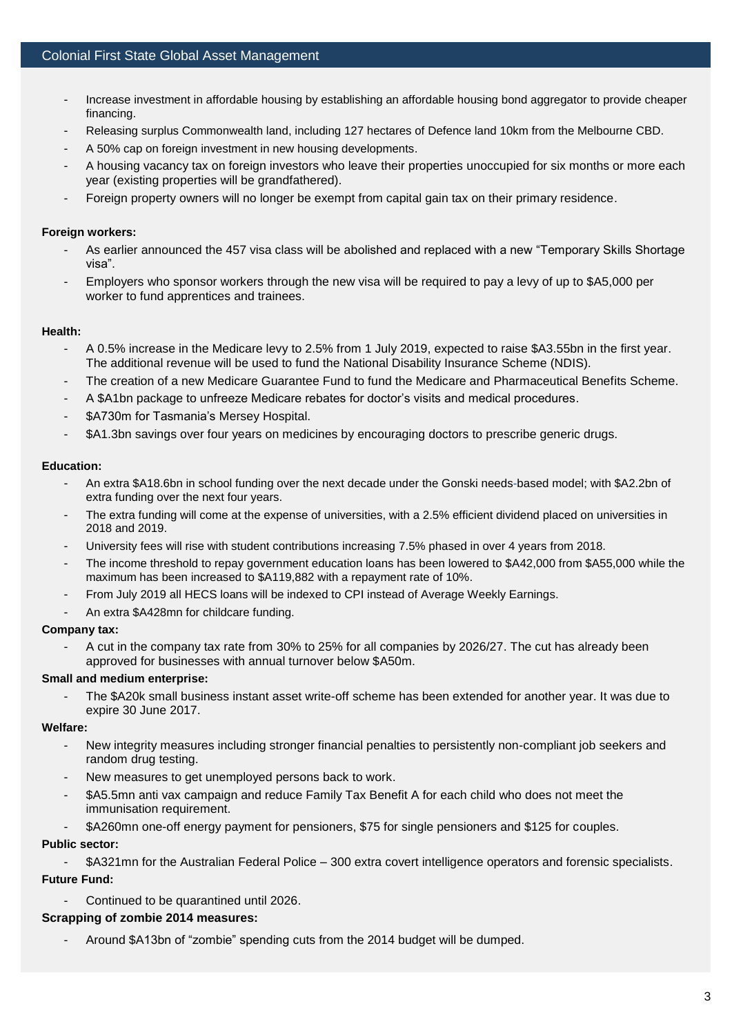- Increase investment in affordable housing by establishing an affordable housing bond aggregator to provide cheaper financing.
- Releasing surplus Commonwealth land, including 127 hectares of Defence land 10km from the Melbourne CBD.
- A 50% cap on foreign investment in new housing developments.
- A housing vacancy tax on foreign investors who leave their properties unoccupied for six months or more each year (existing properties will be grandfathered).
- Foreign property owners will no longer be exempt from capital gain tax on their primary residence.

#### **Foreign workers:**

- As earlier announced the 457 visa class will be abolished and replaced with a new "Temporary Skills Shortage visa".
- Employers who sponsor workers through the new visa will be required to pay a levy of up to \$A5,000 per worker to fund apprentices and trainees.

#### **Health:**

- A 0.5% increase in the Medicare levy to 2.5% from 1 July 2019, expected to raise \$A3.55bn in the first year. The additional revenue will be used to fund the National Disability Insurance Scheme (NDIS).
- The creation of a new Medicare Guarantee Fund to fund the Medicare and Pharmaceutical Benefits Scheme.
- A \$A1bn package to unfreeze Medicare rebates for doctor's visits and medical procedures.
- \$A730m for Tasmania's Mersey Hospital.
- \$A1.3bn savings over four years on medicines by encouraging doctors to prescribe generic drugs.

#### **Education:**

- An extra \$A18.6bn in school funding over the next decade under the Gonski needs-based model; with \$A2.2bn of extra funding over the next four years.
- The extra funding will come at the expense of universities, with a 2.5% efficient dividend placed on universities in 2018 and 2019.
- University fees will rise with student contributions increasing 7.5% phased in over 4 years from 2018.
- The income threshold to repay government education loans has been lowered to \$A42,000 from \$A55,000 while the maximum has been increased to \$A119,882 with a repayment rate of 10%.
- From July 2019 all HECS loans will be indexed to CPI instead of Average Weekly Earnings.
- An extra \$A428mn for childcare funding.

#### **Company tax:**

- A cut in the company tax rate from 30% to 25% for all companies by 2026/27. The cut has already been approved for businesses with annual turnover below \$A50m.

## **Small and medium enterprise:**

The \$A20k small business instant asset write-off scheme has been extended for another year. It was due to expire 30 June 2017.

#### **Welfare:**

- New integrity measures including stronger financial penalties to persistently non-compliant job seekers and random drug testing.
- New measures to get unemployed persons back to work.
- \$A5.5mn anti vax campaign and reduce Family Tax Benefit A for each child who does not meet the immunisation requirement.
- \$A260mn one-off energy payment for pensioners, \$75 for single pensioners and \$125 for couples.

## **Public sector:**

- \$A321mn for the Australian Federal Police – 300 extra covert intelligence operators and forensic specialists.

## **Future Fund:**

Continued to be quarantined until 2026.

## **Scrapping of zombie 2014 measures:**

- Around \$A13bn of "zombie" spending cuts from the 2014 budget will be dumped.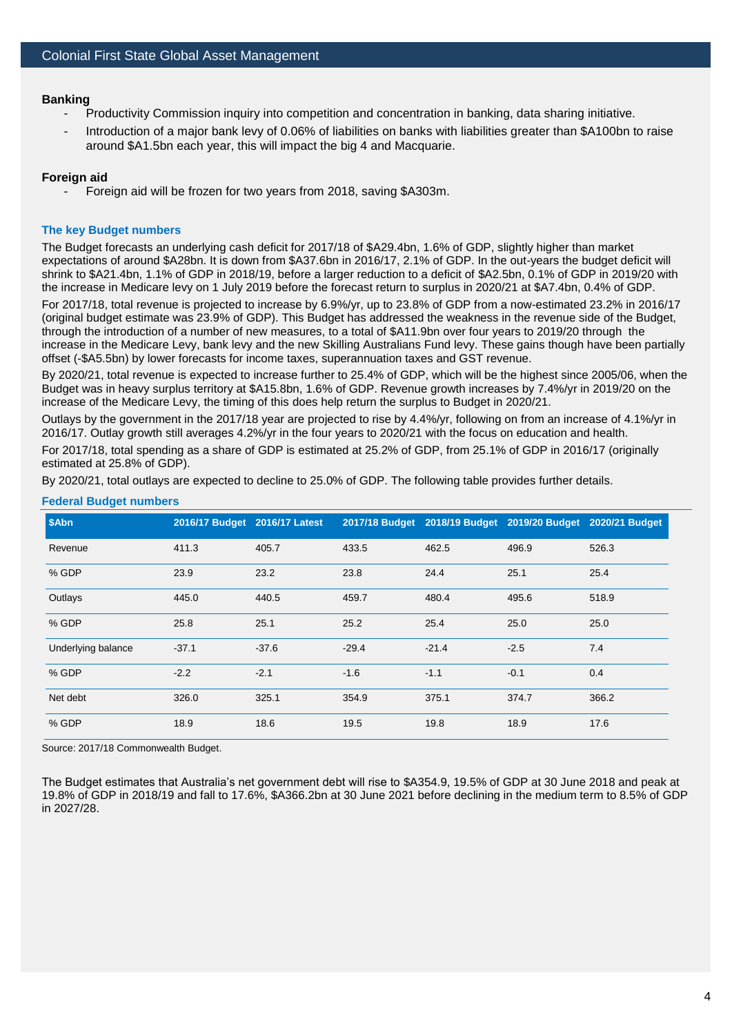#### **Banking**

- Productivity Commission inquiry into competition and concentration in banking, data sharing initiative.
- Introduction of a maior bank levy of 0.06% of liabilities on banks with liabilities greater than \$A100bn to raise around \$A1.5bn each year, this will impact the big 4 and Macquarie.

#### **Foreign aid**

Foreign aid will be frozen for two years from 2018, saving \$A303m.

#### **The key Budget numbers**

The Budget forecasts an underlying cash deficit for 2017/18 of \$A29.4bn, 1.6% of GDP, slightly higher than market expectations of around \$A28bn. It is down from \$A37.6bn in 2016/17, 2.1% of GDP. In the out-years the budget deficit will shrink to \$A21.4bn, 1.1% of GDP in 2018/19, before a larger reduction to a deficit of \$A2.5bn, 0.1% of GDP in 2019/20 with the increase in Medicare levy on 1 July 2019 before the forecast return to surplus in 2020/21 at \$A7.4bn, 0.4% of GDP.

For 2017/18, total revenue is projected to increase by 6.9%/yr, up to 23.8% of GDP from a now-estimated 23.2% in 2016/17 (original budget estimate was 23.9% of GDP). This Budget has addressed the weakness in the revenue side of the Budget, through the introduction of a number of new measures, to a total of \$A11.9bn over four years to 2019/20 through the increase in the Medicare Levy, bank levy and the new Skilling Australians Fund levy. These gains though have been partially offset (-\$A5.5bn) by lower forecasts for income taxes, superannuation taxes and GST revenue.

By 2020/21, total revenue is expected to increase further to 25.4% of GDP, which will be the highest since 2005/06, when the Budget was in heavy surplus territory at \$A15.8bn, 1.6% of GDP. Revenue growth increases by 7.4%/yr in 2019/20 on the increase of the Medicare Levy, the timing of this does help return the surplus to Budget in 2020/21.

Outlays by the government in the 2017/18 year are projected to rise by 4.4%/yr, following on from an increase of 4.1%/yr in 2016/17. Outlay growth still averages 4.2%/yr in the four years to 2020/21 with the focus on education and health.

For 2017/18, total spending as a share of GDP is estimated at 25.2% of GDP, from 25.1% of GDP in 2016/17 (originally estimated at 25.8% of GDP).

By 2020/21, total outlays are expected to decline to 25.0% of GDP. The following table provides further details.

| \$Abn              | 2016/17 Budget 2016/17 Latest |         |         |         | 2017/18 Budget 2018/19 Budget 2019/20 Budget 2020/21 Budget |       |
|--------------------|-------------------------------|---------|---------|---------|-------------------------------------------------------------|-------|
| Revenue            | 411.3                         | 405.7   | 433.5   | 462.5   | 496.9                                                       | 526.3 |
| % GDP              | 23.9                          | 23.2    | 23.8    | 24.4    | 25.1                                                        | 25.4  |
| Outlays            | 445.0                         | 440.5   | 459.7   | 480.4   | 495.6                                                       | 518.9 |
| % GDP              | 25.8                          | 25.1    | 25.2    | 25.4    | 25.0                                                        | 25.0  |
| Underlying balance | $-37.1$                       | $-37.6$ | $-29.4$ | $-21.4$ | $-2.5$                                                      | 7.4   |
| % GDP              | $-2.2$                        | $-2.1$  | $-1.6$  | $-1.1$  | $-0.1$                                                      | 0.4   |
| Net debt           | 326.0                         | 325.1   | 354.9   | 375.1   | 374.7                                                       | 366.2 |
| % GDP              | 18.9                          | 18.6    | 19.5    | 19.8    | 18.9                                                        | 17.6  |

#### **Federal Budget numbers**

Source: 2017/18 Commonwealth Budget.

The Budget estimates that Australia's net government debt will rise to \$A354.9, 19.5% of GDP at 30 June 2018 and peak at 19.8% of GDP in 2018/19 and fall to 17.6%, \$A366.2bn at 30 June 2021 before declining in the medium term to 8.5% of GDP in 2027/28.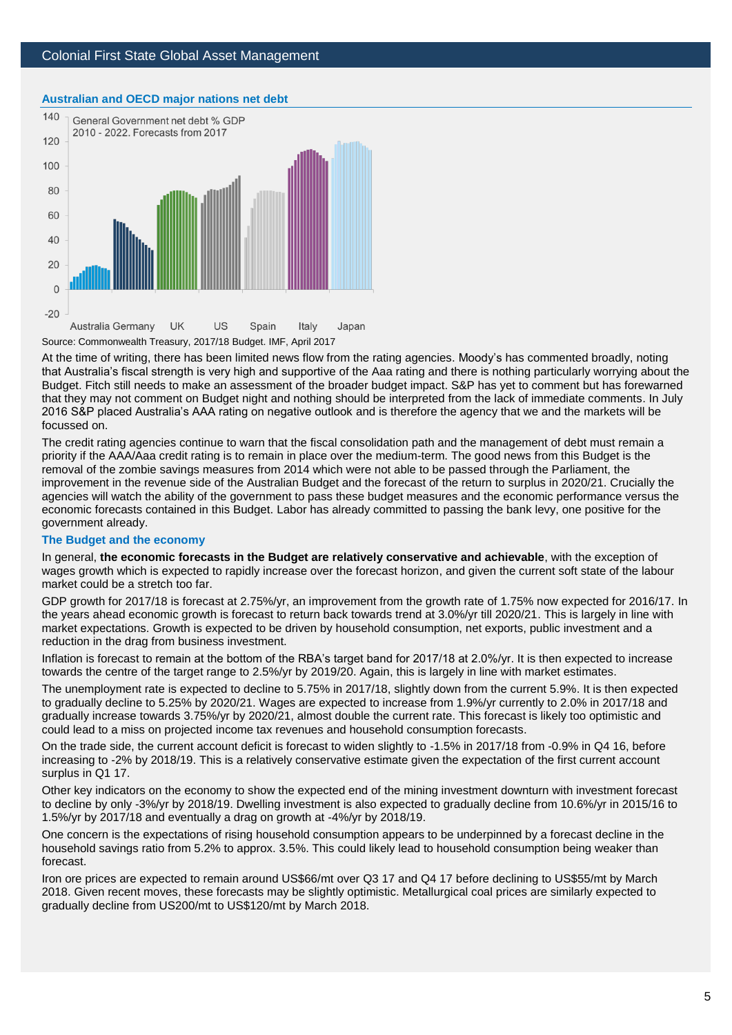## Colonial First State Global Asset Management



#### **Australian and OECD major nations net debt**

At the time of writing, there has been limited news flow from the rating agencies. Moody's has commented broadly, noting that Australia's fiscal strength is very high and supportive of the Aaa rating and there is nothing particularly worrying about the Budget. Fitch still needs to make an assessment of the broader budget impact. S&P has yet to comment but has forewarned that they may not comment on Budget night and nothing should be interpreted from the lack of immediate comments. In July 2016 S&P placed Australia's AAA rating on negative outlook and is therefore the agency that we and the markets will be focussed on.

The credit rating agencies continue to warn that the fiscal consolidation path and the management of debt must remain a priority if the AAA/Aaa credit rating is to remain in place over the medium-term. The good news from this Budget is the removal of the zombie savings measures from 2014 which were not able to be passed through the Parliament, the improvement in the revenue side of the Australian Budget and the forecast of the return to surplus in 2020/21. Crucially the agencies will watch the ability of the government to pass these budget measures and the economic performance versus the economic forecasts contained in this Budget. Labor has already committed to passing the bank levy, one positive for the government already.

#### **The Budget and the economy**

In general, **the economic forecasts in the Budget are relatively conservative and achievable**, with the exception of wages growth which is expected to rapidly increase over the forecast horizon, and given the current soft state of the labour market could be a stretch too far.

GDP growth for 2017/18 is forecast at 2.75%/yr, an improvement from the growth rate of 1.75% now expected for 2016/17. In the years ahead economic growth is forecast to return back towards trend at 3.0%/yr till 2020/21. This is largely in line with market expectations. Growth is expected to be driven by household consumption, net exports, public investment and a reduction in the drag from business investment.

Inflation is forecast to remain at the bottom of the RBA's target band for 2017/18 at 2.0%/yr. It is then expected to increase towards the centre of the target range to 2.5%/yr by 2019/20. Again, this is largely in line with market estimates.

The unemployment rate is expected to decline to 5.75% in 2017/18, slightly down from the current 5.9%. It is then expected to gradually decline to 5.25% by 2020/21. Wages are expected to increase from 1.9%/yr currently to 2.0% in 2017/18 and gradually increase towards 3.75%/yr by 2020/21, almost double the current rate. This forecast is likely too optimistic and could lead to a miss on projected income tax revenues and household consumption forecasts.

On the trade side, the current account deficit is forecast to widen slightly to -1.5% in 2017/18 from -0.9% in Q4 16, before increasing to -2% by 2018/19. This is a relatively conservative estimate given the expectation of the first current account surplus in Q1 17.

Other key indicators on the economy to show the expected end of the mining investment downturn with investment forecast to decline by only -3%/yr by 2018/19. Dwelling investment is also expected to gradually decline from 10.6%/yr in 2015/16 to 1.5%/yr by 2017/18 and eventually a drag on growth at -4%/yr by 2018/19.

One concern is the expectations of rising household consumption appears to be underpinned by a forecast decline in the household savings ratio from 5.2% to approx. 3.5%. This could likely lead to household consumption being weaker than forecast.

Iron ore prices are expected to remain around US\$66/mt over Q3 17 and Q4 17 before declining to US\$55/mt by March 2018. Given recent moves, these forecasts may be slightly optimistic. Metallurgical coal prices are similarly expected to gradually decline from US200/mt to US\$120/mt by March 2018.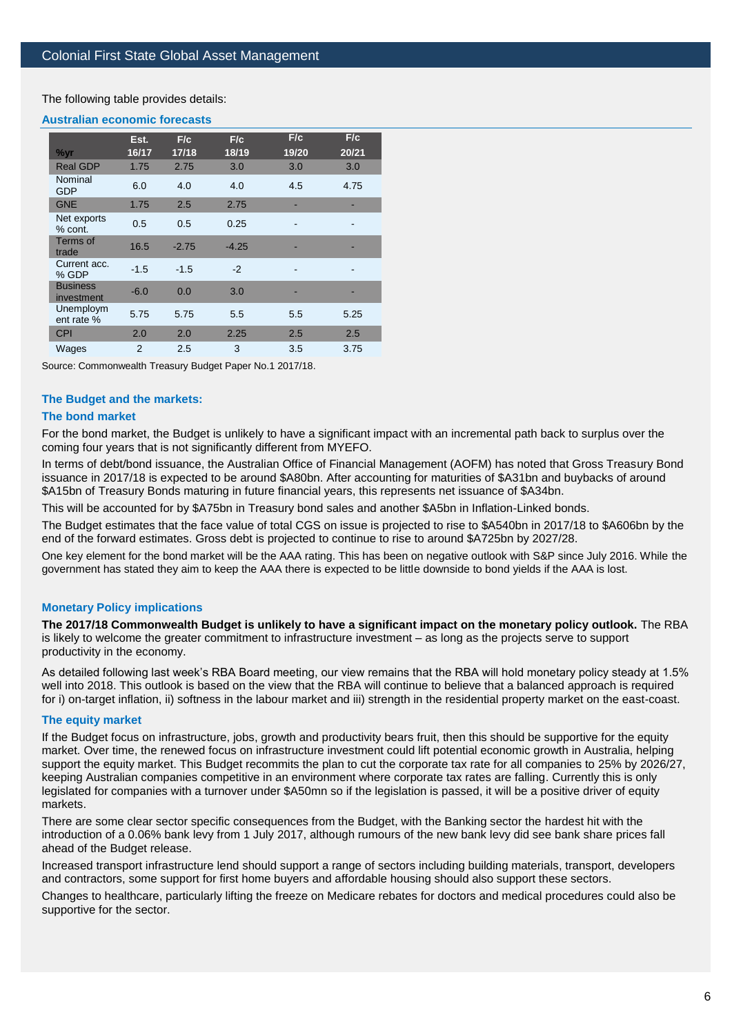The following table provides details:

#### **Australian economic forecasts**

|                               | Est.          | F/c     | F/c     | F/c   | F/c   |
|-------------------------------|---------------|---------|---------|-------|-------|
| %yr                           | 16/17         | 17/18   | 18/19   | 19/20 | 20/21 |
| <b>Real GDP</b>               | 1.75          | 2.75    | 3.0     | 3.0   | 3.0   |
| Nominal<br>GDP                | 6.0           | 4.0     | 4.0     | 4.5   | 4.75  |
| <b>GNE</b>                    | 1.75          | 2.5     | 2.75    |       |       |
| Net exports<br>% cont.        | 0.5           | 0.5     | 0.25    |       |       |
| Terms of<br>trade             | 16.5          | $-2.75$ | $-4.25$ |       |       |
| Current acc.<br>% GDP         | $-1.5$        | $-1.5$  | $-2$    | -     |       |
| <b>Business</b><br>investment | $-6.0$        | 0.0     | 3.0     |       |       |
| Unemploym<br>ent rate %       | 5.75          | 5.75    | 5.5     | 5.5   | 5.25  |
| <b>CPI</b>                    | 2.0           | 2.0     | 2.25    | 2.5   | 2.5   |
| Wages                         | $\mathcal{P}$ | 2.5     | 3       | 3.5   | 3.75  |

Source: Commonwealth Treasury Budget Paper No.1 2017/18.

#### **The Budget and the markets:**

#### **The bond market**

For the bond market, the Budget is unlikely to have a significant impact with an incremental path back to surplus over the coming four years that is not significantly different from MYEFO.

In terms of debt/bond issuance, the Australian Office of Financial Management (AOFM) has noted that Gross Treasury Bond issuance in 2017/18 is expected to be around \$A80bn. After accounting for maturities of \$A31bn and buybacks of around \$A15bn of Treasury Bonds maturing in future financial years, this represents net issuance of \$A34bn.

This will be accounted for by \$A75bn in Treasury bond sales and another \$A5bn in Inflation-Linked bonds.

The Budget estimates that the face value of total CGS on issue is projected to rise to \$A540bn in 2017/18 to \$A606bn by the end of the forward estimates. Gross debt is projected to continue to rise to around \$A725bn by 2027/28.

One key element for the bond market will be the AAA rating. This has been on negative outlook with S&P since July 2016. While the government has stated they aim to keep the AAA there is expected to be little downside to bond yields if the AAA is lost.

#### **Monetary Policy implications**

**The 2017/18 Commonwealth Budget is unlikely to have a significant impact on the monetary policy outlook.** The RBA is likely to welcome the greater commitment to infrastructure investment – as long as the projects serve to support productivity in the economy.

As detailed following last week's RBA Board meeting, our view remains that the RBA will hold monetary policy steady at 1.5% well into 2018. This outlook is based on the view that the RBA will continue to believe that a balanced approach is required for i) on-target inflation, ii) softness in the labour market and iii) strength in the residential property market on the east-coast.

#### **The equity market**

If the Budget focus on infrastructure, jobs, growth and productivity bears fruit, then this should be supportive for the equity market. Over time, the renewed focus on infrastructure investment could lift potential economic growth in Australia, helping support the equity market. This Budget recommits the plan to cut the corporate tax rate for all companies to 25% by 2026/27, keeping Australian companies competitive in an environment where corporate tax rates are falling. Currently this is only legislated for companies with a turnover under \$A50mn so if the legislation is passed, it will be a positive driver of equity markets.

There are some clear sector specific consequences from the Budget, with the Banking sector the hardest hit with the introduction of a 0.06% bank levy from 1 July 2017, although rumours of the new bank levy did see bank share prices fall ahead of the Budget release.

Increased transport infrastructure lend should support a range of sectors including building materials, transport, developers and contractors, some support for first home buyers and affordable housing should also support these sectors.

Changes to healthcare, particularly lifting the freeze on Medicare rebates for doctors and medical procedures could also be supportive for the sector.